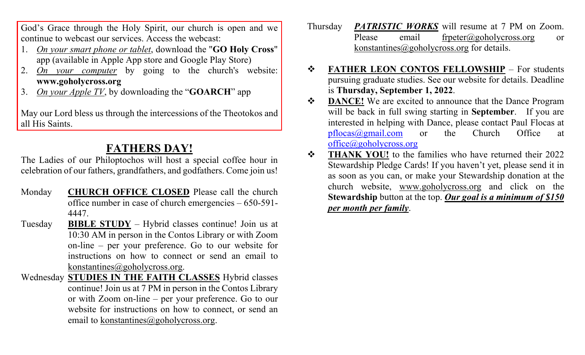God's Grace through the Holy Spirit, our church is open and we continue to webcast our services. Access the webcast:

- 1. *On your smart phone or tablet*, download the "**GO Holy Cross**" app (available in Apple App store and Google Play Store)
- 2. *On your computer* by going to the church's website: **[www.goholycross.org](http://www.goholycross.org/)**
- 3. *On your Apple TV*, by downloading the "**GOARCH**" app

May our Lord bless us through the intercessions of the Theotokos and all His Saints.

## **FATHERS DAY!**

The Ladies of our Philoptochos will host a special coffee hour in celebration of our fathers, grandfathers, and godfathers. Come join us!

- Monday **CHURCH OFFICE CLOSED** Please call the church office number in case of church emergencies – 650-591- 4447.
- Tuesday **BIBLE STUDY** Hybrid classes continue! Join us at 10:30 AM in person in the Contos Library or with Zoom on-line – per your preference. Go to our website for instructions on how to connect or send an email to [konstantines@goholycross.org.](mailto:konstantines@goholycross.org)
- Wednesday **STUDIES IN THE FAITH CLASSES** Hybrid classes continue! Join us at 7 PM in person in the Contos Library or with Zoom on-line – per your preference. Go to our website for instructions on how to connect, or send an email to konstantines $@$ goholycross.org.
- Thursday *PATRISTIC WORKS* will resume at 7 PM on Zoom. Please email [frpeter@goholycross.org](mailto:frpeter@goholycross.org) or [konstantines@goholycross.org](mailto:konstantines@goholycross.org) for details.
- **FATHER LEON CONTOS FELLOWSHIP** For students pursuing graduate studies. See our website for details. Deadline is **Thursday, September 1, 2022**.
- $\bullet$  **DANCE!** We are excited to announce that the Dance Program will be back in full swing starting in **September**. If you are interested in helping with Dance, please contact Paul Flocas at [pflocas@gmail.com](mailto:pflocas@gmail.com) or the Church Office at [office@goholycross.org](mailto:office@goholycross.org)
- **THANK YOU!** to the families who have returned their 2022 Stewardship Pledge Cards! If you haven't yet, please send it in as soon as you can, or make your Stewardship donation at the church website, [www.goholycross.org](http://www.goholycross.org/) and click on the **Stewardship** button at the top. *Our goal is a minimum of \$150 per month per family*.